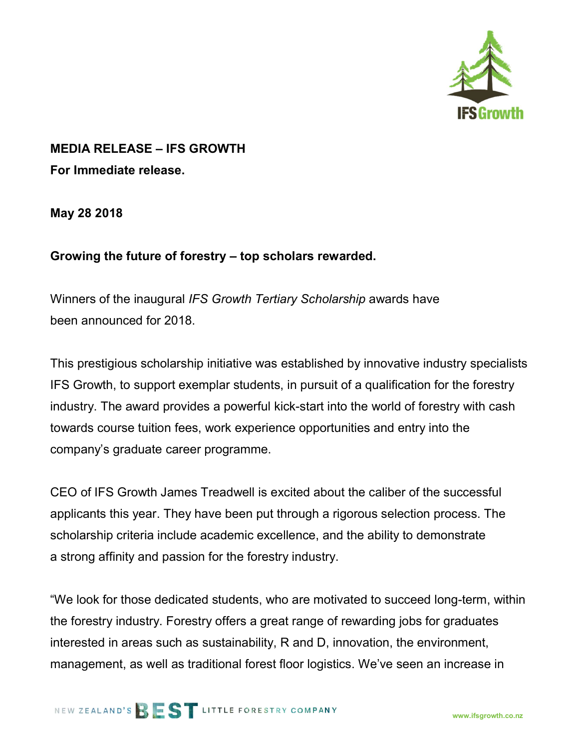

## MEDIA RELEASE – IFS GROWTH

For Immediate release.

May 28 2018

## Growing the future of forestry – top scholars rewarded.

Winners of the inaugural IFS Growth Tertiary Scholarship awards have been announced for 2018.

This prestigious scholarship initiative was established by innovative industry specialists IFS Growth, to support exemplar students, in pursuit of a qualification for the forestry industry. The award provides a powerful kick-start into the world of forestry with cash towards course tuition fees, work experience opportunities and entry into the company's graduate career programme.

CEO of IFS Growth James Treadwell is excited about the caliber of the successful applicants this year. They have been put through a rigorous selection process. The scholarship criteria include academic excellence, and the ability to demonstrate a strong affinity and passion for the forestry industry.

"We look for those dedicated students, who are motivated to succeed long-term, within the forestry industry. Forestry offers a great range of rewarding jobs for graduates interested in areas such as sustainability, R and D, innovation, the environment, management, as well as traditional forest floor logistics. We've seen an increase in